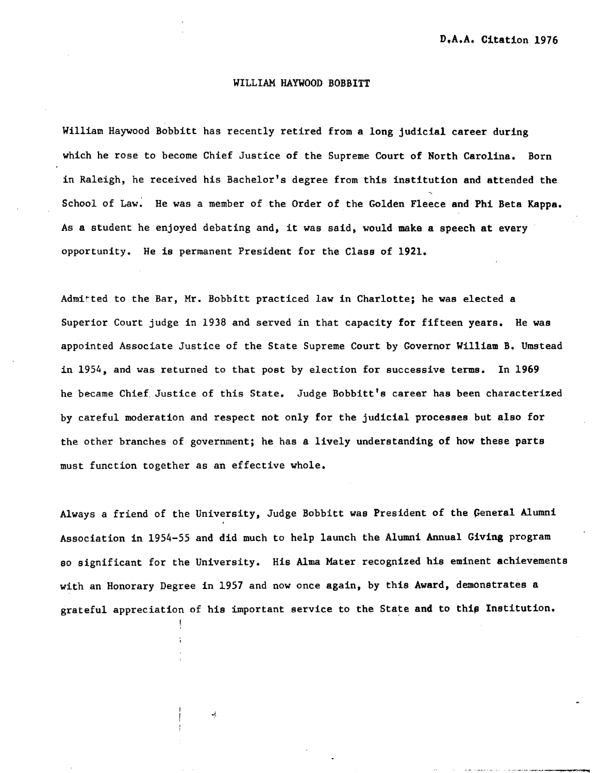## WILLIAM HAYWOOD BOBBITT

William Haywood Bobbitt has recently retired from a long judicial career during which he rose to become Chief Justice of the Supreme Court of North Carolina. Born in Raleigh, he received his Bachelor's degree from this institution and attended the School of Law. He was a member of the Order of the Golden Fleece and Phi Beta Kappa. As a student he enjoyed debating and, it was said, would make a speech at every opportunity. He is permanent President for the Class of 1921.

Admitted to the Bar, Mr. Bobbitt practiced law in Charlotte; he was elected a Superior Court judge in 1938 and served in that capacity for fifteen years. He was appointed Associate Justice of the State Supreme Court by Governor William B. Umstead in 1954, and was returned to that post by election for successive terms. In 1969 he became Chief, Justice of this State. Judge Bobbitt's career has been characterized by careful moderation and respect not only for the judicial processes but also for the other branches of government; he has a lively understanding of how these parts must function together as an effective whole.

Always a friend of the University, Judge Bobbitt was President of the General Alumni Association in 1954-55 and did much to help launch the Alumni Annual Giving program so significant for the University. His Alma Mater recognized his eminent achievements with an Honorary Degree in 1957 and now once again, by this Award, demonstrates a grateful appreciation of his important service to the State and to this Institution.

!

ψţ.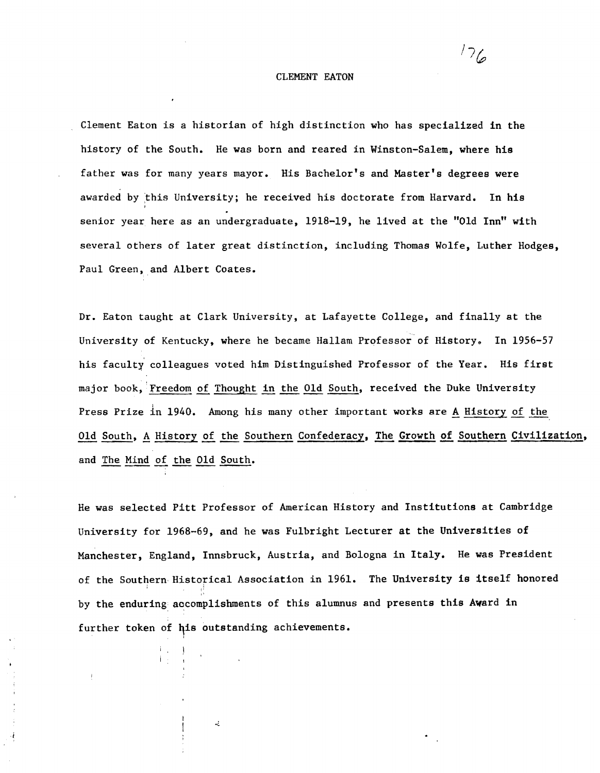## CLEMENT EATON

 $^{\prime}$   $^{\prime}$   $\approx$ 

Clement Eaton is a historian of high distinction who has specialized in the history of the South. He was born and reared in Winston-Salem, where his father was for many years mayor. His Bachelor's and Master's degrees were awarded by this University; he received his doctorate from Harvard. In his senior year here as an undergraduate, 1918-19, he lived at the "Old Inn" with several others of later great distinction, including Thomas Wolfe, Luther Hodges, Paul Green, and Albert Coates.

Dr. Eaton taught at Clark University, at Lafayette College, and finally at the University of Kentucky, where he became Hallam Professor of History. In 1956-57 his faculty colleagues voted him Distinguished Professor of the Year. His first major book, Freedom of Thought in the Old South, received the Duke University Press Prize in 1940. Among his many other important works are <u>A</u> History of the Old South, A History of the Southern Confederacy, The Growth of Southern Civilization, and The Mind of the Old South.

He was selected Pitt Professor of American History and Institutions at Cambridge University for 1968-69, and he was Fulbright Lecturer at the Universities of Manchester, England, Innsbruck, Austria, and Bologna in Italy. He was President of the Southern Historical Association in 1961. The University is itself honored by the enduring accomplishments of this alumnus and presents this Award in further token of his outstanding achievements.

 $\frac{1}{2}$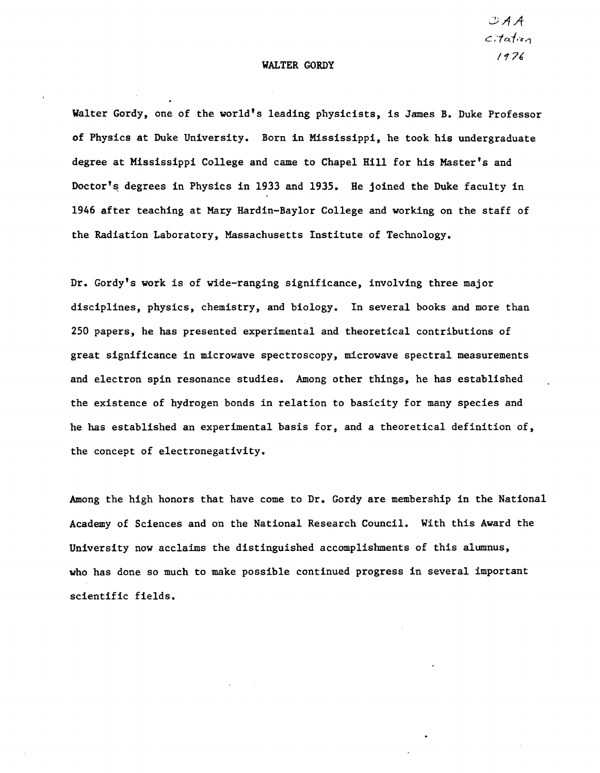## WALTER GORDY

 $\mathcal{A} \mathcal{A}$ *citation 1"17£* 

Walter Gordy, one of the world's leading physicists, is James B. Duke Professor of Physics at Duke University. Born in Mississippi, he took his undergraduate degree at Mississippi College and came to Chapel Hill for his Master's and Doctor's degrees in Physics in 1933 and 1935. He joined the Duke faculty in 1946 after teaching at Mary Hardin-Baylor College and working on the staff of the Radiation Laboratory, Massachusetts Institute of Technology.

Dr. Gordy's work is of wide-ranging significance, involving three major disciplines, physics, chemistry, and biology. In several books and more than 250 papers, he has presented experimental and theoretical contributions of great significance in microwave spectroscopy, microwave spectral measurements and electron spin resonance studies. Among other things, he has established the existence of hydrogen bonds in relation to basicity for many species and he has established an experimental basis for, and a theoretical definition of, the concept of electronegativity.

Among the high honors that have come to Dr. Gordy are membership in the National Academy of Sciences and on the National Research Council. With this Award the University now acclaims the distinguished accomplishments of this alumnus, who has done so much to make possible continued progress in several important scientific fields.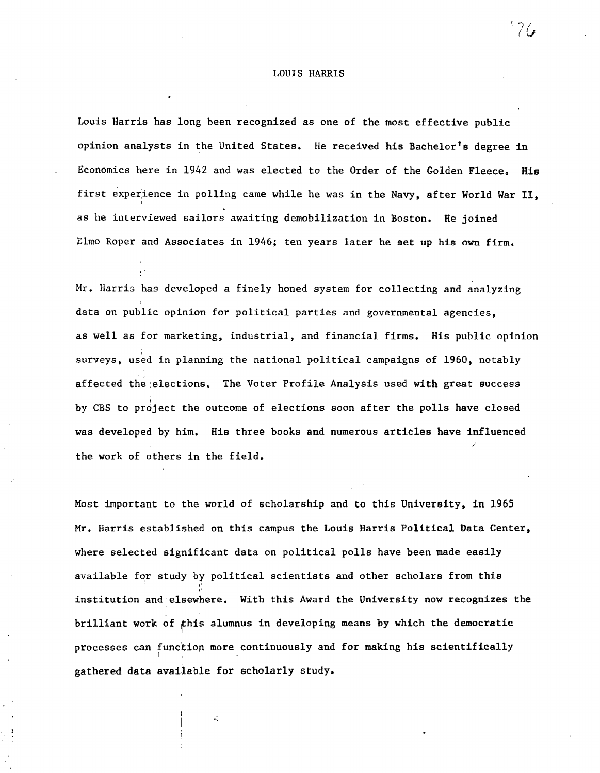## LOUIS HARRIS

Louis Harris has long been recognized as one of the most effective public opinion analysts in the United States. He received his Bachelor's degree in Economics here in 1942 and was elected to the Order of the Golden Fleece. His first experience in polling came while he was in the Navy, after World War II. as he interviewed sailors awaiting demobilization in Boston. He joined Elmo Roper and Associates in 1946; ten years later he set up his own firm.

, .

Mr. Harris has developed a finely honed system for collecting and analyzing data on public opinion for political parties and governmental agencies, as well as for marketing, industrial, and financial firms. His public opinion surveys, used in planning the national political campaigns of 1960, notably affected the elections. The Voter Profile Analysis used with great success by CBS to project the outcome of elections soon after the polls have closed was developed by him. His three books and numerous articles have influenced the work of others in the field.

Most important to the world of scholarship and to this University, in 1965 Mr. Harris established on this campus the Louis Harris Political Data Center, where selected significant data on political polls have been made easily available for study by political scientists and other scholars from this institution and elsewhere. With this Award the University now recognizes the brilliant work of fhis alumnus in developing means by which the democratic processes can functiop more continuously and for making his scientifically ; gathered data available for scholarly study.

 $\mathbf{a}^{\dagger}_{\mathbf{a}}$ 

 $176$